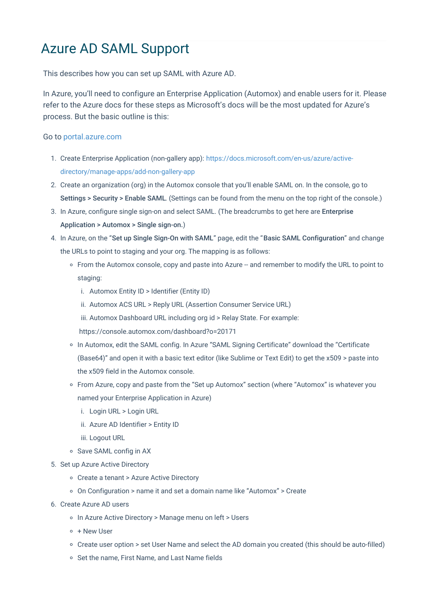## Azure AD SAML Support

This describes how you can set up SAML with Azure AD.

In Azure, you'll need to configure an Enterprise Application (Automox) and enable users for it. Please refer to the Azure docs for these steps as Microsoft's docs will be the most updated for Azure's process. But the basic outline is this:

## Go to portal.azure.com

- 1. Create Enterprise Application (non-gallery app): https://docs.microsoft.com/en-us/azure/activedirectory/manage-apps/add-non-gallery-app
- 2. Create an organization (org) in the Automox console that you'll enable SAML on. In the console, go to Settings > Security > Enable SAML. (Settings can be found from the menu on the top right of the console.)
- 3. In Azure, configure single sign-on and select SAML. (The breadcrumbs to get here are Enterprise Application > Automox > Single sign-on.)
- 4. In Azure, on the "Set up Single Sign-On with SAML" page, edit the "Basic SAML Configuration" and change the URLs to point to staging and your org. The mapping is as follows:
	- From the Automox console, copy and paste into Azure -- and remember to modify the URL to point to staging:
		- i. Automox Entity ID > Identifier (Entity ID)
		- ii. Automox ACS URL > Reply URL (Assertion Consumer Service URL)
		- iii. Automox Dashboard URL including org id > Relay State. For example:
		- https://console.automox.com/dashboard?o=20171
	- o In Automox, edit the SAML config. In Azure "SAML Signing Certificate" download the "Certificate (Base64)" and open it with a basic text editor (like Sublime or Text Edit) to get the x509 > paste into the x509 field in the Automox console.
	- From Azure, copy and paste from the "Set up Automox" section (where "Automox" is whatever you named your Enterprise Application in Azure)
		- i. Login URL > Login URL
		- ii. Azure AD Identifier > Entity ID
		- iii. Logout URL
	- o Save SAML config in AX
- 5. Set up Azure Active Directory
	- Create a tenant > Azure Active Directory
	- $\circ$  On Configuration > name it and set a domain name like "Automox" > Create
- 6. Create Azure AD users
	- In Azure Active Directory > Manage menu on left > Users
	- $\circ$  + New User
	- Create user option > set User Name and select the AD domain you created (this should be auto-filled)
	- o Set the name, First Name, and Last Name fields